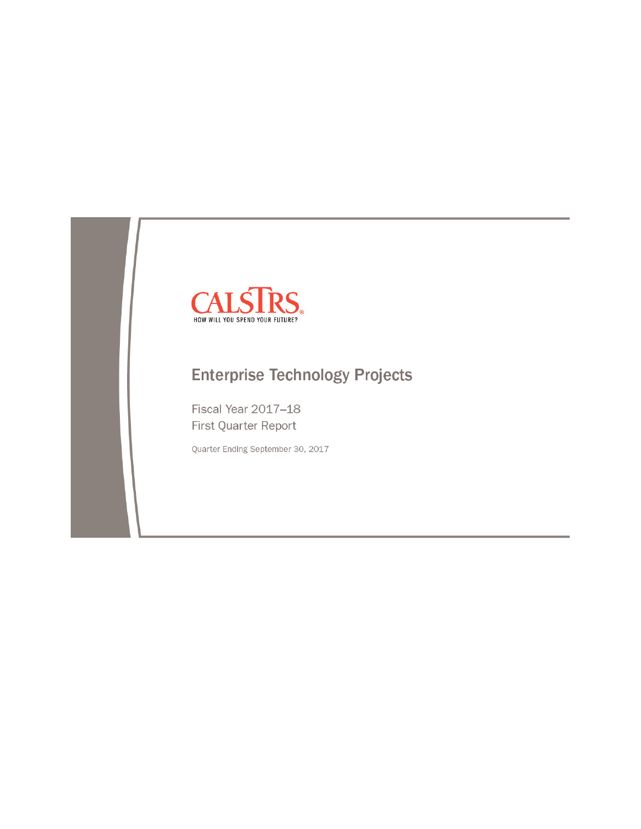

# **Enterprise Technology Projects**

Fiscal Year 2017-18 First Quarter Report

Quarter Ending September 30, 2017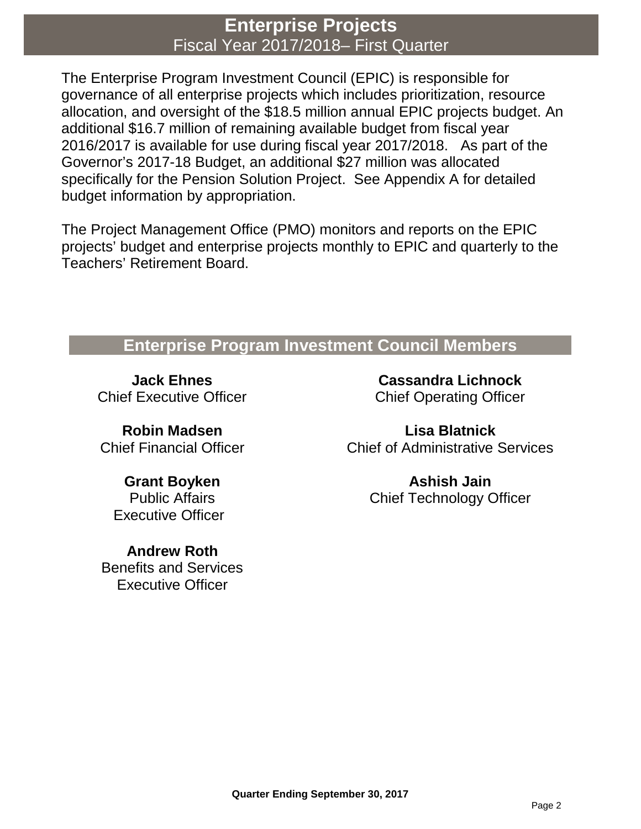## **Enterprise Projects** Fiscal Year 2017/2018– First Quarter

The Enterprise Program Investment Council (EPIC) is responsible for governance of all enterprise projects which includes prioritization, resource allocation, and oversight of the \$18.5 million annual EPIC projects budget. An additional \$16.7 million of remaining available budget from fiscal year 2016/2017 is available for use during fiscal year 2017/2018. As part of the Governor's 2017-18 Budget, an additional \$27 million was allocated specifically for the Pension Solution Project. See Appendix A for detailed budget information by appropriation.

The Project Management Office (PMO) monitors and reports on the EPIC projects' budget and enterprise projects monthly to EPIC and quarterly to the Teachers' Retirement Board.

## **Enterprise Program Investment Council Members**

**Jack Ehnes** Chief Executive Officer

**Robin Madsen** Chief Financial Officer

**Grant Boyken** Public Affairs Executive Officer

**Andrew Roth** Benefits and Services Executive Officer

**Cassandra Lichnock** Chief Operating Officer

**Lisa Blatnick** Chief of Administrative Services

> **Ashish Jain** Chief Technology Officer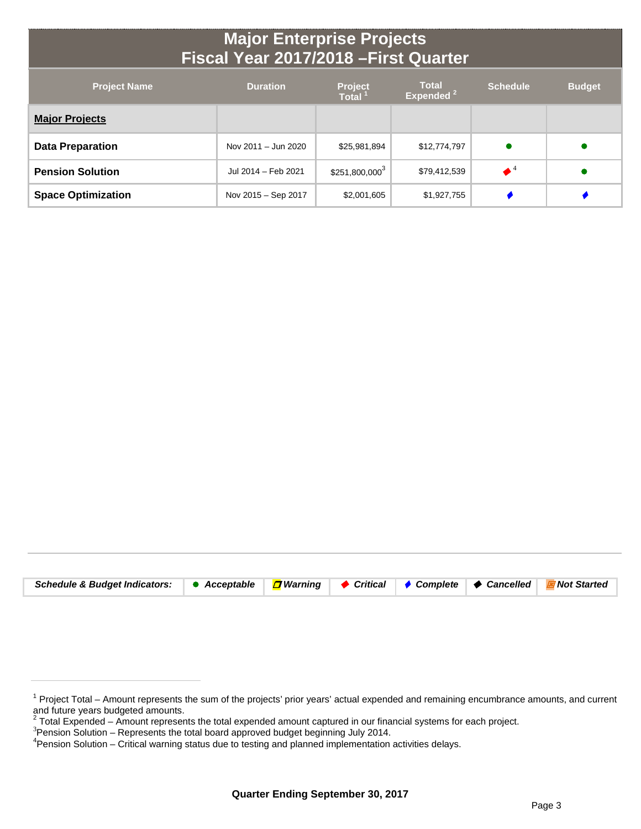## **Major Enterprise Projects Fiscal Year 2017/2018 –First Quarter**

| <b>Project Name</b>       | <b>Duration</b>     | <b>Project</b><br><b>Total</b> | <b>Total</b><br>Expended <sup>2</sup> | <b>Schedule</b> | <b>Budget</b> |
|---------------------------|---------------------|--------------------------------|---------------------------------------|-----------------|---------------|
| <b>Major Projects</b>     |                     |                                |                                       |                 |               |
| <b>Data Preparation</b>   | Nov 2011 - Jun 2020 | \$25,981,894                   | \$12,774,797                          |                 |               |
| <b>Pension Solution</b>   | Jul 2014 - Feb 2021 | $$251,800,000^3$               | \$79,412,539                          |                 |               |
| <b>Space Optimization</b> | Nov 2015 – Sep 2017 | \$2,001,605                    | \$1,927,755                           |                 |               |

| Schedule & Budget Indicators: ● Acceptable <mark>□</mark> Warning   ◆ Critical   ◆ Complete   ◆ Cancelled   E Not Started |
|---------------------------------------------------------------------------------------------------------------------------|
|---------------------------------------------------------------------------------------------------------------------------|

<sup>&</sup>lt;sup>1</sup> Project Total – Amount represents the sum of the projects' prior years' actual expended and remaining encumbrance amounts, and current and future years budgeted amounts.

<sup>&</sup>lt;sup>2</sup> Total Expended – Amount represents the total expended amount captured in our financial systems for each project.<br><sup>3</sup> Bension Solution – Benresents the total beard approved budget beginning, luly 2014.

 $3$ Pension Solution – Represents the total board approved budget beginning July 2014.

Pension Solution – Critical warning status due to testing and planned implementation activities delays.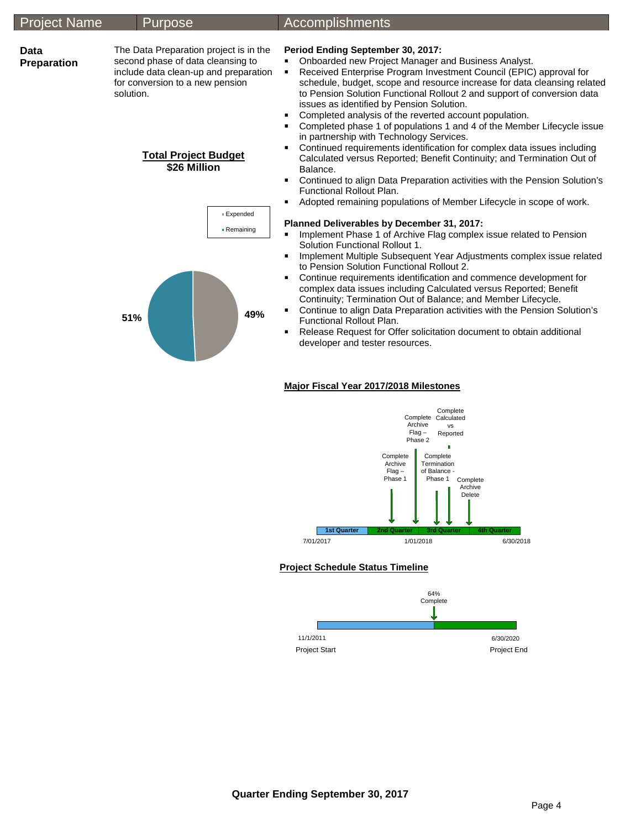#### Project Name Purpose Accomplishments **Data Preparation**  The Data Preparation project is in the second phase of data cleansing to include data clean-up and preparation for conversion to a new pension solution. **Total Project Budget \$26 Million Period Ending September 30, 2017: • Onboarded new Project Manager and Business Analyst.** ■ Received Enterprise Program Investment Council (EPIC) approval for schedule, budget, scope and resource increase for data cleansing related to Pension Solution Functional Rollout 2 and support of conversion data issues as identified by Pension Solution. **Completed analysis of the reverted account population.** ■ Completed phase 1 of populations 1 and 4 of the Member Lifecycle issue in partnership with Technology Services. Continued requirements identification for complex data issues including Calculated versus Reported; Benefit Continuity; and Termination Out of Balance. Continued to align Data Preparation activities with the Pension Solution's Functional Rollout Plan. Adopted remaining populations of Member Lifecycle in scope of work. **Planned Deliverables by December 31, 2017: IMPLEMENTE 1 Implement Phase 1 of Archive Flag complex issue related to Pension** Solution Functional Rollout 1. **Implement Multiple Subsequent Year Adjustments complex issue related** to Pension Solution Functional Rollout 2. Continue requirements identification and commence development for complex data issues including Calculated versus Reported; Benefit Continuity; Termination Out of Balance; and Member Lifecycle. Continue to align Data Preparation activities with the Pension Solution's Functional Rollout Plan. ■ Release Request for Offer solicitation document to obtain additional developer and tester resources. **51% 49%** Expended Remaining



#### **Major Fiscal Year 2017/2018 Milestones**

### **Project Schedule Status Timeline**

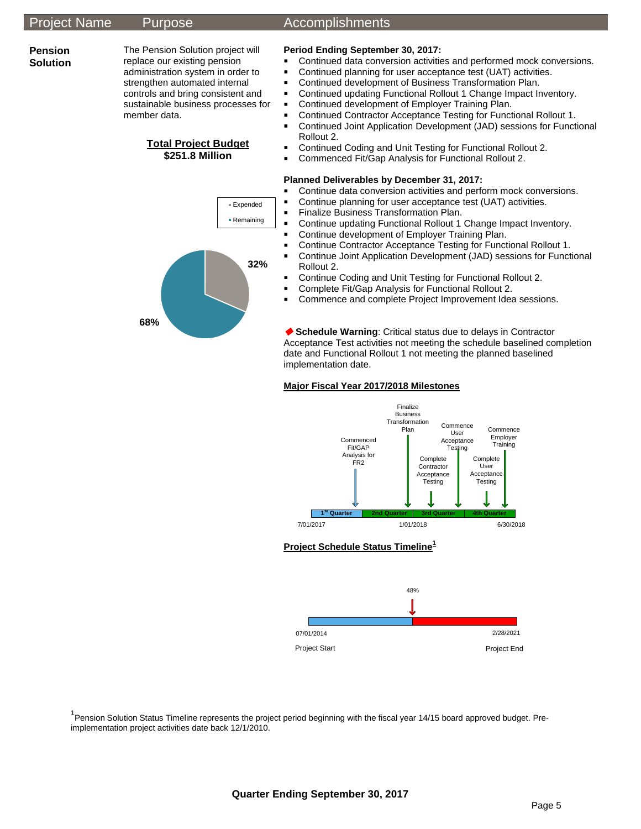**68%**

### Project Name Purpose Accomplishments

#### **Pension Solution**

The Pension Solution project will replace our existing pension administration system in order to strengthen automated internal controls and bring consistent and sustainable business processes for member data.

### **Total Project Budget \$251.8 Million**

**32%**

Expended ■ Remaining



- Continued data conversion activities and performed mock conversions.
- Continued planning for user acceptance test (UAT) activities.
- **Continued development of Business Transformation Plan.**
- **Continued updating Functional Rollout 1 Change Impact Inventory.**
- **Continued development of Employer Training Plan.**
- Continued Contractor Acceptance Testing for Functional Rollout 1.
- **E** Continued Joint Application Development (JAD) sessions for Functional Rollout 2.
- Continued Coding and Unit Testing for Functional Rollout 2.
- Commenced Fit/Gap Analysis for Functional Rollout 2.

#### **Planned Deliverables by December 31, 2017:**

- Continue data conversion activities and perform mock conversions.
- Continue planning for user acceptance test (UAT) activities.
- **Finalize Business Transformation Plan.**<br>**E** Continue undating Functional Rollout 1
- Continue updating Functional Rollout 1 Change Impact Inventory.
- **Continue development of Employer Training Plan.**
- Continue Contractor Acceptance Testing for Functional Rollout 1.
- Continue Joint Application Development (JAD) sessions for Functional Rollout 2.
- Continue Coding and Unit Testing for Functional Rollout 2.
- Complete Fit/Gap Analysis for Functional Rollout 2.
- **Commence and complete Project Improvement Idea sessions.**

 **Schedule Warning**: Critical status due to delays in Contractor Acceptance Test activities not meeting the schedule baselined completion date and Functional Rollout 1 not meeting the planned baselined implementation date.

### **Major Fiscal Year 2017/2018 Milestones**



### **Project Schedule Status Timeline1**



<sup>1</sup> Pension Solution Status Timeline represents the project period beginning with the fiscal year 14/15 board approved budget. Preimplementation project activities date back 12/1/2010.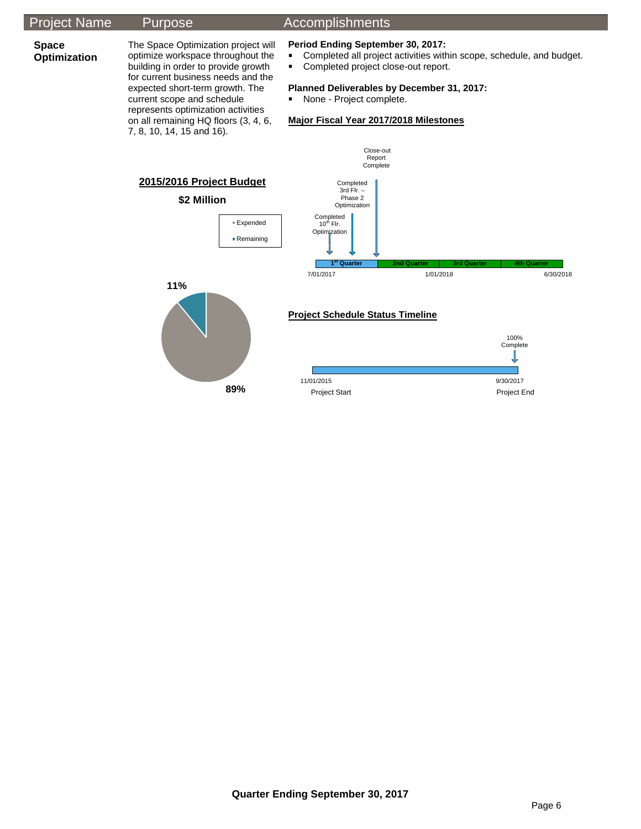## Project Name Purpose Accomplishments

## **Space**

**Optimization** 

7, 8, 10, 14, 15 and 16).

The Space Optimization project will optimize workspace throughout the building in order to provide growth for current business needs and the expected short-term growth. The current scope and schedule represents optimization activities on all remaining HQ floors (3, 4, 6,

**89%**

## **Period Ending September 30, 2017:**<br>**•** Completed all project activities with

- Completed all project activities within scope, schedule, and budget.
- Completed project close-out report.

#### **Planned Deliverables by December 31, 2017:**

None - Project complete.

### **Major Fiscal Year 2017/2018 Milestones**

Close-out



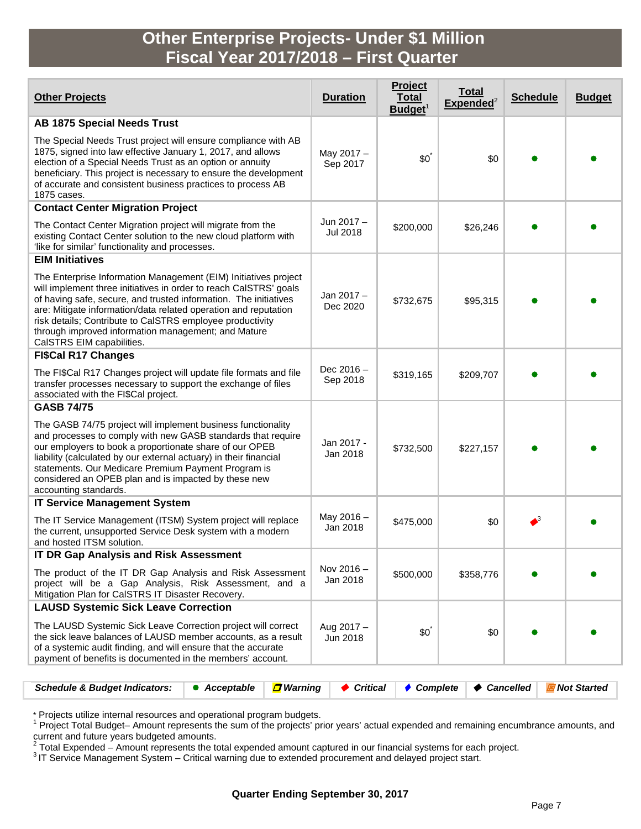## **Other Enterprise Projects- Under \$1 Million Fiscal Year 2017/2018 – First Quarter**

| <b>Other Projects</b>                                                                                                                                                                                                                                                                                                                                                                                                        | <b>Duration</b>               | Project<br><b>Total</b><br>Budget <sup>1</sup> | <b>Total</b><br>${\sf Expected}^2$ | <b>Schedule</b>    | <b>Budget</b> |
|------------------------------------------------------------------------------------------------------------------------------------------------------------------------------------------------------------------------------------------------------------------------------------------------------------------------------------------------------------------------------------------------------------------------------|-------------------------------|------------------------------------------------|------------------------------------|--------------------|---------------|
| <b>AB 1875 Special Needs Trust</b>                                                                                                                                                                                                                                                                                                                                                                                           |                               |                                                |                                    |                    |               |
| The Special Needs Trust project will ensure compliance with AB<br>1875, signed into law effective January 1, 2017, and allows<br>election of a Special Needs Trust as an option or annuity<br>beneficiary. This project is necessary to ensure the development<br>of accurate and consistent business practices to process AB<br>1875 cases.                                                                                 | May 2017 -<br>Sep 2017        | $$0^{\degree}$                                 | \$0                                |                    |               |
| <b>Contact Center Migration Project</b>                                                                                                                                                                                                                                                                                                                                                                                      |                               |                                                |                                    |                    |               |
| The Contact Center Migration project will migrate from the<br>existing Contact Center solution to the new cloud platform with<br>'like for similar' functionality and processes.                                                                                                                                                                                                                                             | Jun 2017 –<br><b>Jul 2018</b> | \$200,000                                      | \$26,246                           |                    |               |
| <b>EIM Initiatives</b>                                                                                                                                                                                                                                                                                                                                                                                                       |                               |                                                |                                    |                    |               |
| The Enterprise Information Management (EIM) Initiatives project<br>will implement three initiatives in order to reach CalSTRS' goals<br>of having safe, secure, and trusted information. The initiatives<br>are: Mitigate information/data related operation and reputation<br>risk details; Contribute to CalSTRS employee productivity<br>through improved information management; and Mature<br>CalSTRS EIM capabilities. | Jan 2017-<br>Dec 2020         | \$732,675                                      | \$95,315                           |                    |               |
| <b>FI\$Cal R17 Changes</b>                                                                                                                                                                                                                                                                                                                                                                                                   |                               |                                                |                                    |                    |               |
| The FI\$Cal R17 Changes project will update file formats and file<br>transfer processes necessary to support the exchange of files<br>associated with the FI\$Cal project.                                                                                                                                                                                                                                                   | Dec $2016 -$<br>Sep 2018      | \$319,165                                      | \$209,707                          |                    |               |
| <b>GASB 74/75</b>                                                                                                                                                                                                                                                                                                                                                                                                            |                               |                                                |                                    |                    |               |
| The GASB 74/75 project will implement business functionality<br>and processes to comply with new GASB standards that require<br>our employers to book a proportionate share of our OPEB<br>liability (calculated by our external actuary) in their financial<br>statements. Our Medicare Premium Payment Program is<br>considered an OPEB plan and is impacted by these new<br>accounting standards.                         | Jan 2017 -<br>Jan 2018        | \$732,500                                      | \$227,157                          |                    |               |
| <b>IT Service Management System</b>                                                                                                                                                                                                                                                                                                                                                                                          |                               |                                                |                                    |                    |               |
| The IT Service Management (ITSM) System project will replace<br>the current, unsupported Service Desk system with a modern<br>and hosted ITSM solution.                                                                                                                                                                                                                                                                      | May 2016 -<br>Jan 2018        | \$475,000                                      | \$0                                | $\blacktriangle^3$ |               |
| <b>IT DR Gap Analysis and Risk Assessment</b>                                                                                                                                                                                                                                                                                                                                                                                |                               |                                                |                                    |                    |               |
| The product of the IT DR Gap Analysis and Risk Assessment<br>project will be a Gap Analysis, Risk Assessment, and a<br>Mitigation Plan for CalSTRS IT Disaster Recovery.                                                                                                                                                                                                                                                     | Nov 2016-<br>Jan 2018         | \$500,000                                      | \$358,776                          |                    |               |
| <b>LAUSD Systemic Sick Leave Correction</b>                                                                                                                                                                                                                                                                                                                                                                                  |                               |                                                |                                    |                    |               |
| The LAUSD Systemic Sick Leave Correction project will correct<br>the sick leave balances of LAUSD member accounts, as a result<br>of a systemic audit finding, and will ensure that the accurate<br>payment of benefits is documented in the members' account.                                                                                                                                                               | Aug $2017 -$<br>Jun 2018      | $$0^{\degree}$                                 | \$0                                |                    |               |
|                                                                                                                                                                                                                                                                                                                                                                                                                              |                               |                                                |                                    |                    |               |
| <b>Schedule &amp; Budget Indicators:</b><br><mark>□</mark> Warning<br>• Acceptable                                                                                                                                                                                                                                                                                                                                           | $\blacklozenge$ Critical      | ♦ Complete                                     | ♦ Cancelled                        |                    | Not Started   |

\* Projects utilize internal resources and operational program budgets.<br><sup>1</sup> Project Total Budget– Amount represents the sum of the projects' prior years' actual expended and remaining encumbrance amounts, and 2 Total Expended – Amount represents the total expended amount captured in our financial systems for each project.<br><sup>2</sup> Total Expended – Amount represents the total expended amount captured in our financial systems for each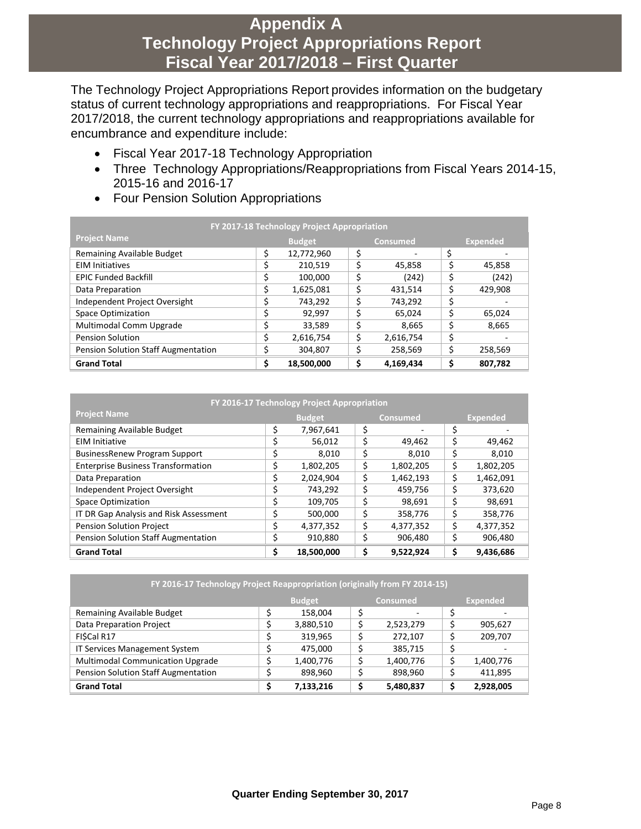## **Appendix A Technology Project Appropriations Report Fiscal Year 2017/2018 – First Quarter**

The Technology Project Appropriations Report provides information on the budgetary status of current technology appropriations and reappropriations. For Fiscal Year 2017/2018, the current technology appropriations and reappropriations available for encumbrance and expenditure include:

- Fiscal Year 2017-18 Technology Appropriation
- Three Technology Appropriations/Reappropriations from Fiscal Years 2014-15, 2015-16 and 2016-17
- Four Pension Solution Appropriations

| FY 2017-18 Technology Project Appropriation |                                  |            |    |           |    |                 |  |  |  |
|---------------------------------------------|----------------------------------|------------|----|-----------|----|-----------------|--|--|--|
| <b>Project Name</b>                         | <b>Budget</b><br><b>Consumed</b> |            |    |           |    | <b>Expended</b> |  |  |  |
| Remaining Available Budget                  | \$                               | 12,772,960 | \$ | ٠         | \$ |                 |  |  |  |
| <b>EIM Initiatives</b>                      | \$                               | 210,519    |    | 45.858    | \$ | 45,858          |  |  |  |
| <b>EPIC Funded Backfill</b>                 | \$                               | 100,000    | \$ | (242)     | \$ | (242)           |  |  |  |
| Data Preparation                            | \$                               | 1,625,081  | \$ | 431,514   | \$ | 429,908         |  |  |  |
| Independent Project Oversight               | ∍                                | 743,292    | \$ | 743,292   | \$ |                 |  |  |  |
| <b>Space Optimization</b>                   | \$                               | 92.997     | \$ | 65.024    | \$ | 65,024          |  |  |  |
| Multimodal Comm Upgrade                     | \$                               | 33,589     | \$ | 8,665     | \$ | 8,665           |  |  |  |
| <b>Pension Solution</b>                     | \$                               | 2,616,754  | \$ | 2,616,754 | \$ |                 |  |  |  |
| Pension Solution Staff Augmentation         | \$                               | 304,807    | ⊃  | 258,569   | \$ | 258,569         |  |  |  |
| <b>Grand Total</b>                          | \$                               | 18,500,000 |    | 4,169,434 | \$ | 807,782         |  |  |  |

| FY 2016-17 Technology Project Appropriation |               |            |    |                 |    |                 |  |
|---------------------------------------------|---------------|------------|----|-----------------|----|-----------------|--|
| <b>Project Name</b>                         | <b>Budget</b> |            |    | <b>Consumed</b> |    | <b>Expended</b> |  |
| Remaining Available Budget                  | \$            | 7,967,641  | \$ |                 | \$ |                 |  |
| <b>EIM Initiative</b>                       | \$            | 56,012     | \$ | 49,462          | \$ | 49,462          |  |
| <b>BusinessRenew Program Support</b>        | \$            | 8.010      | \$ | 8.010           | \$ | 8,010           |  |
| <b>Enterprise Business Transformation</b>   | \$            | 1,802,205  | \$ | 1,802,205       | \$ | 1,802,205       |  |
| Data Preparation                            | \$            | 2,024,904  | \$ | 1,462,193       | \$ | 1,462,091       |  |
| Independent Project Oversight               | \$            | 743,292    | \$ | 459,756         | \$ | 373,620         |  |
| <b>Space Optimization</b>                   | \$            | 109,705    | \$ | 98,691          | \$ | 98,691          |  |
| IT DR Gap Analysis and Risk Assessment      | Ś             | 500,000    | \$ | 358,776         | \$ | 358,776         |  |
| <b>Pension Solution Project</b>             | \$            | 4,377,352  | \$ | 4,377,352       | \$ | 4,377,352       |  |
| <b>Pension Solution Staff Augmentation</b>  | Ś             | 910,880    | \$ | 906,480         | \$ | 906,480         |  |
| <b>Grand Total</b>                          | Ś             | 18,500,000 | \$ | 9,522,924       | Ś  | 9,436,686       |  |

| FY 2016-17 Technology Project Reappropriation (originally from FY 2014-15) |   |           |  |           |    |           |  |  |  |  |
|----------------------------------------------------------------------------|---|-----------|--|-----------|----|-----------|--|--|--|--|
| <b>Budget</b><br><b>Consumed</b><br><b>Expended</b>                        |   |           |  |           |    |           |  |  |  |  |
| Remaining Available Budget                                                 | ሖ | 158,004   |  | -         |    |           |  |  |  |  |
| Data Preparation Project                                                   |   | 3,880,510 |  | 2,523,279 |    | 905,627   |  |  |  |  |
| FISCal R17                                                                 |   | 319,965   |  | 272.107   |    | 209,707   |  |  |  |  |
| IT Services Management System                                              |   | 475,000   |  | 385,715   |    |           |  |  |  |  |
| <b>Multimodal Communication Upgrade</b>                                    |   | 1,400,776 |  | 1,400,776 | \$ | 1,400,776 |  |  |  |  |
| Pension Solution Staff Augmentation                                        |   | 898,960   |  | 898,960   |    | 411,895   |  |  |  |  |
| <b>Grand Total</b>                                                         |   | 7,133,216 |  | 5,480,837 | Ś  | 2,928,005 |  |  |  |  |